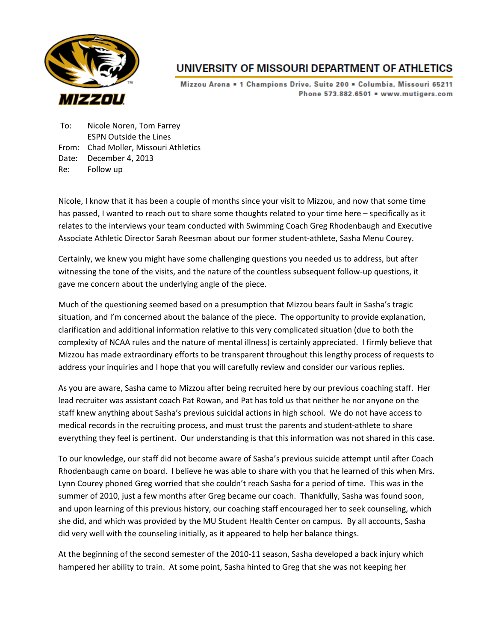

## UNIVERSITY OF MISSOURI DEPARTMENT OF ATHLETICS

Mizzou Arena = 1 Champions Drive, Suite 200 = Columbia, Missouri 65211 Phone 573.882.6501 . www.mutigers.com

To: Nicole Noren, Tom Farrey ESPN Outside the Lines From: Chad Moller, Missouri Athletics Date: December 4, 2013 Re: Follow up

Nicole, I know that it has been a couple of months since your visit to Mizzou, and now that some time has passed, I wanted to reach out to share some thoughts related to your time here – specifically as it relates to the interviews your team conducted with Swimming Coach Greg Rhodenbaugh and Executive Associate Athletic Director Sarah Reesman about our former student‐athlete, Sasha Menu Courey.

Certainly, we knew you might have some challenging questions you needed us to address, but after witnessing the tone of the visits, and the nature of the countless subsequent follow-up questions, it gave me concern about the underlying angle of the piece.

Much of the questioning seemed based on a presumption that Mizzou bears fault in Sasha's tragic situation, and I'm concerned about the balance of the piece. The opportunity to provide explanation, clarification and additional information relative to this very complicated situation (due to both the complexity of NCAA rules and the nature of mental illness) is certainly appreciated. I firmly believe that Mizzou has made extraordinary efforts to be transparent throughout this lengthy process of requests to address your inquiries and I hope that you will carefully review and consider our various replies.

As you are aware, Sasha came to Mizzou after being recruited here by our previous coaching staff. Her lead recruiter was assistant coach Pat Rowan, and Pat has told us that neither he nor anyone on the staff knew anything about Sasha's previous suicidal actions in high school. We do not have access to medical records in the recruiting process, and must trust the parents and student‐athlete to share everything they feel is pertinent. Our understanding is that this information was not shared in this case.

To our knowledge, our staff did not become aware of Sasha's previous suicide attempt until after Coach Rhodenbaugh came on board. I believe he was able to share with you that he learned of this when Mrs. Lynn Courey phoned Greg worried that she couldn't reach Sasha for a period of time. This was in the summer of 2010, just a few months after Greg became our coach. Thankfully, Sasha was found soon, and upon learning of this previous history, our coaching staff encouraged her to seek counseling, which she did, and which was provided by the MU Student Health Center on campus. By all accounts, Sasha did very well with the counseling initially, as it appeared to help her balance things.

At the beginning of the second semester of the 2010‐11 season, Sasha developed a back injury which hampered her ability to train. At some point, Sasha hinted to Greg that she was not keeping her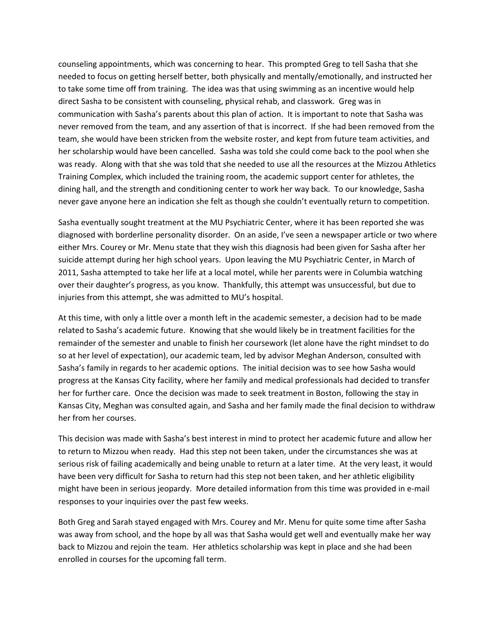counseling appointments, which was concerning to hear. This prompted Greg to tell Sasha that she needed to focus on getting herself better, both physically and mentally/emotionally, and instructed her to take some time off from training. The idea was that using swimming as an incentive would help direct Sasha to be consistent with counseling, physical rehab, and classwork. Greg was in communication with Sasha's parents about this plan of action. It is important to note that Sasha was never removed from the team, and any assertion of that is incorrect. If she had been removed from the team, she would have been stricken from the website roster, and kept from future team activities, and her scholarship would have been cancelled. Sasha was told she could come back to the pool when she was ready. Along with that she was told that she needed to use all the resources at the Mizzou Athletics Training Complex, which included the training room, the academic support center for athletes, the dining hall, and the strength and conditioning center to work her way back. To our knowledge, Sasha never gave anyone here an indication she felt as though she couldn't eventually return to competition.

Sasha eventually sought treatment at the MU Psychiatric Center, where it has been reported she was diagnosed with borderline personality disorder. On an aside, I've seen a newspaper article or two where either Mrs. Courey or Mr. Menu state that they wish this diagnosis had been given for Sasha after her suicide attempt during her high school years. Upon leaving the MU Psychiatric Center, in March of 2011, Sasha attempted to take her life at a local motel, while her parents were in Columbia watching over their daughter's progress, as you know. Thankfully, this attempt was unsuccessful, but due to injuries from this attempt, she was admitted to MU's hospital.

At this time, with only a little over a month left in the academic semester, a decision had to be made related to Sasha's academic future. Knowing that she would likely be in treatment facilities for the remainder of the semester and unable to finish her coursework (let alone have the right mindset to do so at her level of expectation), our academic team, led by advisor Meghan Anderson, consulted with Sasha's family in regards to her academic options. The initial decision was to see how Sasha would progress at the Kansas City facility, where her family and medical professionals had decided to transfer her for further care. Once the decision was made to seek treatment in Boston, following the stay in Kansas City, Meghan was consulted again, and Sasha and her family made the final decision to withdraw her from her courses.

This decision was made with Sasha's best interest in mind to protect her academic future and allow her to return to Mizzou when ready. Had this step not been taken, under the circumstances she was at serious risk of failing academically and being unable to return at a later time. At the very least, it would have been very difficult for Sasha to return had this step not been taken, and her athletic eligibility might have been in serious jeopardy. More detailed information from this time was provided in e‐mail responses to your inquiries over the past few weeks.

Both Greg and Sarah stayed engaged with Mrs. Courey and Mr. Menu for quite some time after Sasha was away from school, and the hope by all was that Sasha would get well and eventually make her way back to Mizzou and rejoin the team. Her athletics scholarship was kept in place and she had been enrolled in courses for the upcoming fall term.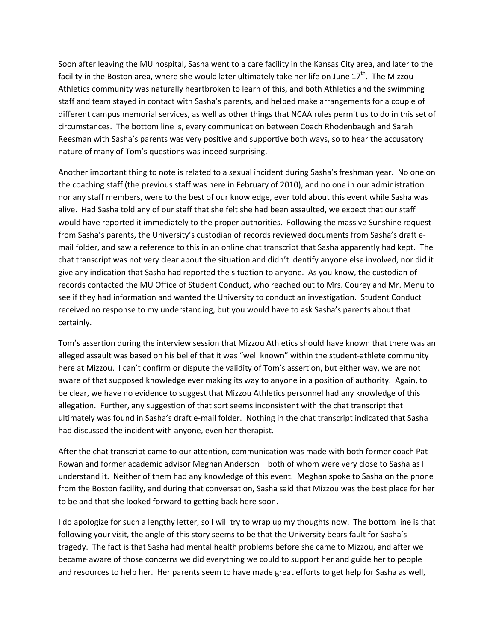Soon after leaving the MU hospital, Sasha went to a care facility in the Kansas City area, and later to the facility in the Boston area, where she would later ultimately take her life on June  $17^{th}$ . The Mizzou Athletics community was naturally heartbroken to learn of this, and both Athletics and the swimming staff and team stayed in contact with Sasha's parents, and helped make arrangements for a couple of different campus memorial services, as well as other things that NCAA rules permit us to do in this set of circumstances. The bottom line is, every communication between Coach Rhodenbaugh and Sarah Reesman with Sasha's parents was very positive and supportive both ways, so to hear the accusatory nature of many of Tom's questions was indeed surprising.

Another important thing to note is related to a sexual incident during Sasha's freshman year. No one on the coaching staff (the previous staff was here in February of 2010), and no one in our administration nor any staff members, were to the best of our knowledge, ever told about this event while Sasha was alive. Had Sasha told any of our staff that she felt she had been assaulted, we expect that our staff would have reported it immediately to the proper authorities. Following the massive Sunshine request from Sasha's parents, the University's custodian of records reviewed documents from Sasha's draft e‐ mail folder, and saw a reference to this in an online chat transcript that Sasha apparently had kept. The chat transcript was not very clear about the situation and didn't identify anyone else involved, nor did it give any indication that Sasha had reported the situation to anyone. As you know, the custodian of records contacted the MU Office of Student Conduct, who reached out to Mrs. Courey and Mr. Menu to see if they had information and wanted the University to conduct an investigation. Student Conduct received no response to my understanding, but you would have to ask Sasha's parents about that certainly.

Tom's assertion during the interview session that Mizzou Athletics should have known that there was an alleged assault was based on his belief that it was "well known" within the student‐athlete community here at Mizzou. I can't confirm or dispute the validity of Tom's assertion, but either way, we are not aware of that supposed knowledge ever making its way to anyone in a position of authority. Again, to be clear, we have no evidence to suggest that Mizzou Athletics personnel had any knowledge of this allegation. Further, any suggestion of that sort seems inconsistent with the chat transcript that ultimately was found in Sasha's draft e‐mail folder. Nothing in the chat transcript indicated that Sasha had discussed the incident with anyone, even her therapist.

After the chat transcript came to our attention, communication was made with both former coach Pat Rowan and former academic advisor Meghan Anderson – both of whom were very close to Sasha as I understand it. Neither of them had any knowledge of this event. Meghan spoke to Sasha on the phone from the Boston facility, and during that conversation, Sasha said that Mizzou was the best place for her to be and that she looked forward to getting back here soon.

I do apologize for such a lengthy letter, so I will try to wrap up my thoughts now. The bottom line is that following your visit, the angle of this story seems to be that the University bears fault for Sasha's tragedy. The fact is that Sasha had mental health problems before she came to Mizzou, and after we became aware of those concerns we did everything we could to support her and guide her to people and resources to help her. Her parents seem to have made great efforts to get help for Sasha as well,